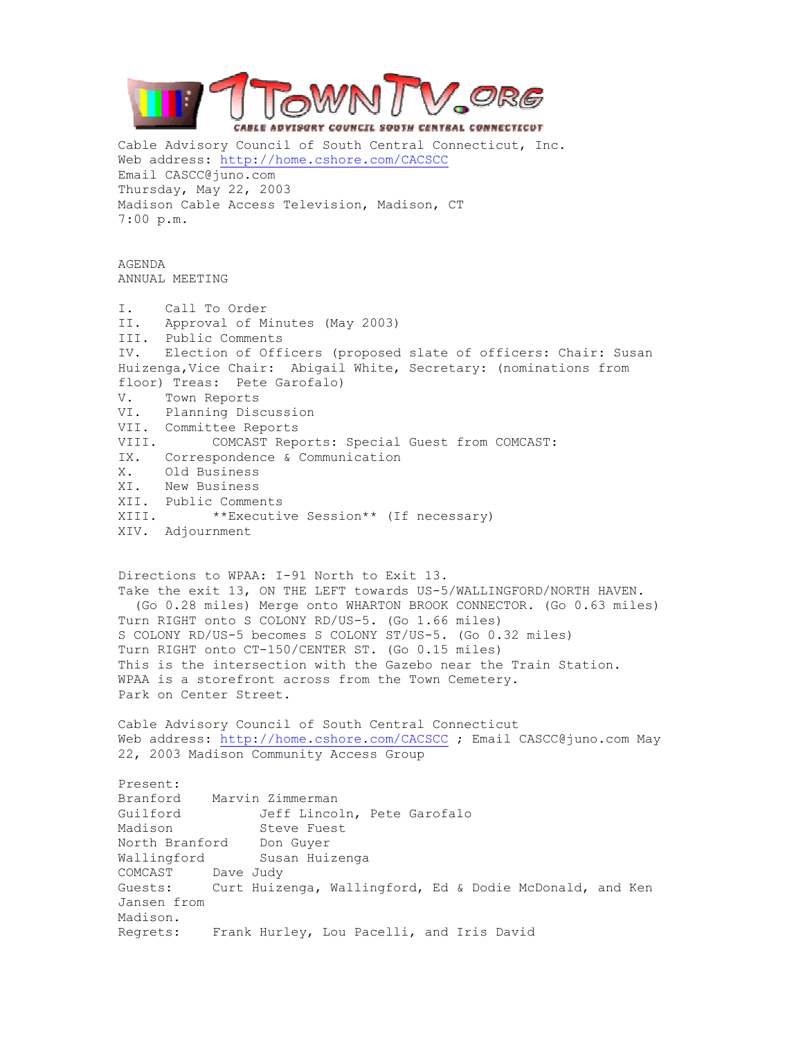

Cable Advisory Council of South Central Connecticut, Inc. Web address: http://home.cshore.com/CACSCC Email CASCC@juno.com Thursday, May 22, 2003 Madison Cable Access Television, Madison, CT 7:00 p.m.

AGENDA ANNUAL MEETING

I. Call To Order II. Approval of Minutes (May 2003) III. Public Comments IV. Election of Officers (proposed slate of officers: Chair: Susan Huizenga,Vice Chair: Abigail White, Secretary: (nominations from floor) Treas: Pete Garofalo) V. Town Reports VI. Planning Discussion VII. Committee Reports VIII. COMCAST Reports: Special Guest from COMCAST: IX. Correspondence & Communication X. Old Business XI. New Business XII. Public Comments XIII. \*\*Executive Session\*\* (If necessary) XIV. Adjournment

Directions to WPAA: I-91 North to Exit 13. Take the exit 13, ON THE LEFT towards US-5/WALLINGFORD/NORTH HAVEN. (Go 0.28 miles) Merge onto WHARTON BROOK CONNECTOR. (Go 0.63 miles) Turn RIGHT onto S COLONY RD/US-5. (Go 1.66 miles) S COLONY RD/US-5 becomes S COLONY ST/US-5. (Go 0.32 miles) Turn RIGHT onto CT-150/CENTER ST. (Go 0.15 miles) This is the intersection with the Gazebo near the Train Station. WPAA is a storefront across from the Town Cemetery. Park on Center Street.

Cable Advisory Council of South Central Connecticut Web address: http://home.cshore.com/CACSCC ; Email CASCC@juno.com May 22, 2003 Madison Community Access Group

Present: Branford Marvin Zimmerman Guilford Jeff Lincoln, Pete Garofalo Madison Steve Fuest North Branford Don Guyer Wallingford Susan Huizenga COMCAST Dave Judy Guests: Curt Huizenga, Wallingford, Ed & Dodie McDonald, and Ken Jansen from Madison. Regrets: Frank Hurley, Lou Pacelli, and Iris David